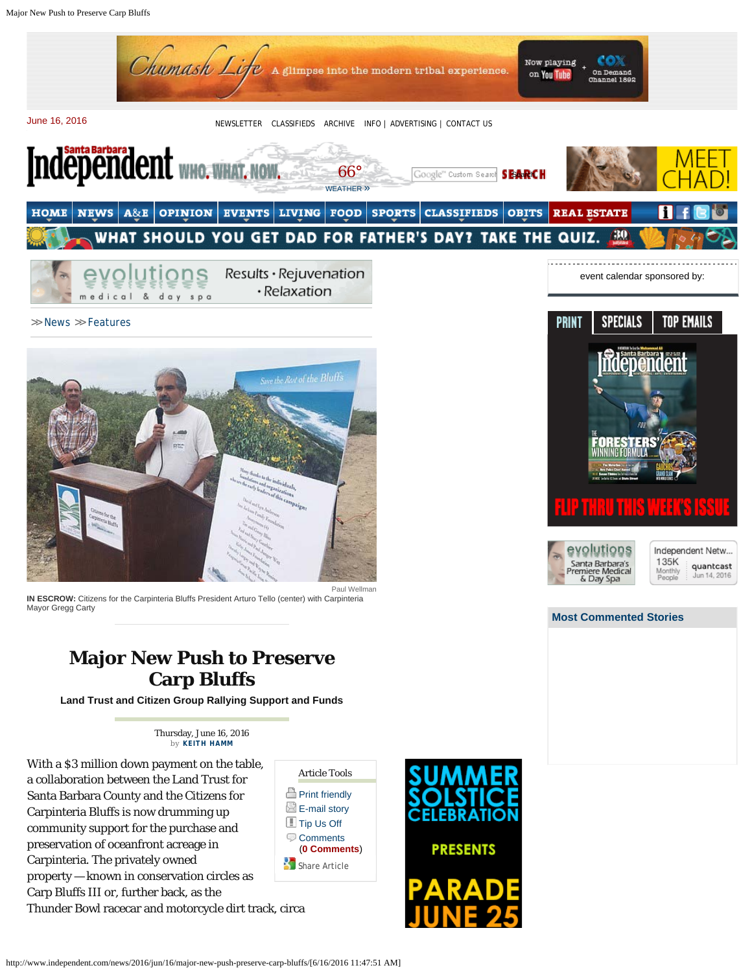Major New Push to Preserve Carp Bluffs



>> [News](http://www.independent.com/news/news/) >> [Features](http://www.independent.com/news/features/)



**IN ESCROW:** Citizens for the Carpinteria Bluffs President Arturo Tello (center) with Carpinteria Mayor Gregg Carty

## **Major New Push to Preserve Carp Bluffs**

**Land Trust and Citizen Group Rallying Support and Funds**

Thursday, June 16, 2016 *by* **[KEITH HAMM](http://www.independent.com/staff/keith-hamm/)**

With a \$3 million down payment on the table, a collaboration between the Land Trust for Santa Barbara County and the Citizens for Carpinteria Bluffs is now drumming up community support for the purchase and preservation of oceanfront acreage in Carpinteria. The privately owned property — known in conservation circles as Carp Bluffs III or, further back, as the Thunder Bowl racecar and motorcycle dirt track, circa





PRINT SPECIALS **TOP EMAILS** 



Independent Netw... 135K quantcast Monthly Jun 14, 2016 People

## **[Most Commented Stories](http://www.independent.com/comments/)**

http://www.independent.com/news/2016/jun/16/major-new-push-preserve-carp-bluffs/[6/16/2016 11:47:51 AM]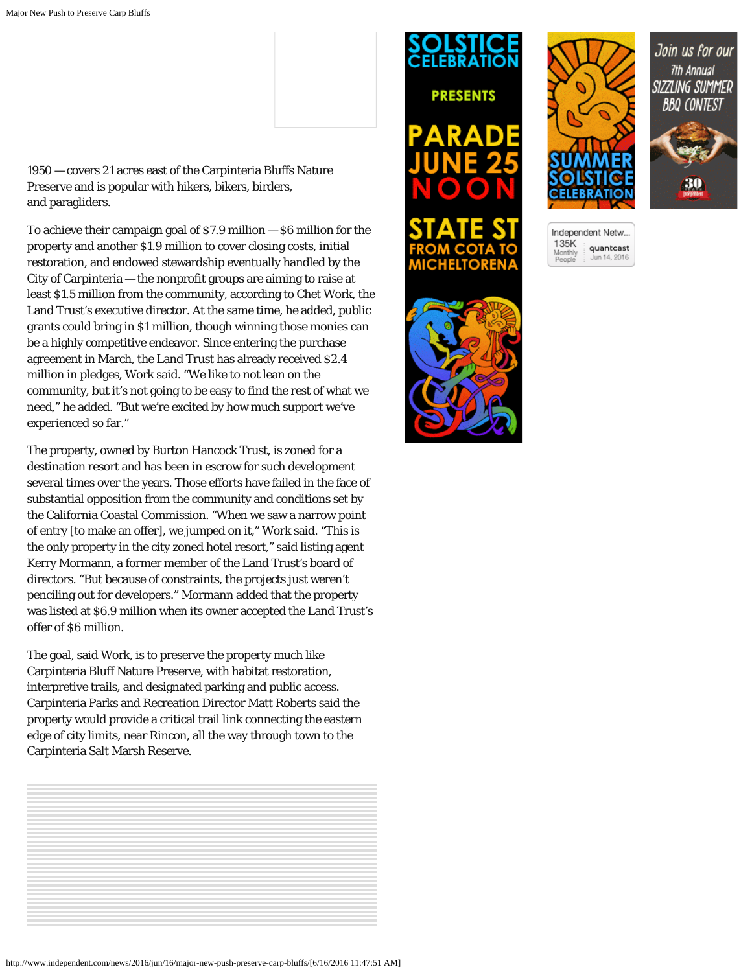1950 — covers 21 acres east of the Carpinteria Bluffs Nature Preserve and is popular with hikers, bikers, birders, and paragliders.

To achieve their campaign goal of \$7.9 million — \$6 million for the property and another \$1.9 million to cover closing costs, initial restoration, and endowed stewardship eventually handled by the City of Carpinteria — the nonprofit groups are aiming to raise at least \$1.5 million from the community, according to Chet Work, the Land Trust's executive director. At the same time, he added, public grants could bring in \$1 million, though winning those monies can be a highly competitive endeavor. Since entering the purchase agreement in March, the Land Trust has already received \$2.4 million in pledges, Work said. "We like to not lean on the community, but it's not going to be easy to find the rest of what we need," he added. "But we're excited by how much support we've experienced so far."

The property, owned by Burton Hancock Trust, is zoned for a destination resort and has been in escrow for such development several times over the years. Those efforts have failed in the face of substantial opposition from the community and conditions set by the California Coastal Commission. "When we saw a narrow point of entry [to make an offer], we jumped on it," Work said. "This is the only property in the city zoned hotel resort," said listing agent Kerry Mormann, a former member of the Land Trust's board of directors. "But because of constraints, the projects just weren't penciling out for developers." Mormann added that the property was listed at \$6.9 million when its owner accepted the Land Trust's offer of \$6 million.

The goal, said Work, is to preserve the property much like Carpinteria Bluff Nature Preserve, with habitat restoration, interpretive trails, and designated parking and public access. Carpinteria Parks and Recreation Director Matt Roberts said the property would provide a critical trail link connecting the eastern edge of city limits, near Rincon, all the way through town to the Carpinteria Salt Marsh Reserve.







Join us for our 7th Annual SIZZLING SUMMER

**BBQ CONTEST** 

| Independent Netw          |                           |
|---------------------------|---------------------------|
| 135K<br>Monthly<br>People | quantcast<br>Jun 14, 2016 |